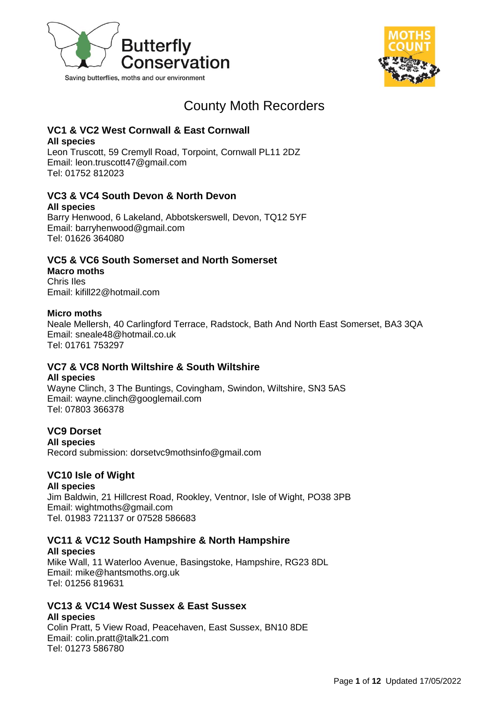



# County Moth Recorders

## **VC1 & VC2 West Cornwall & East Cornwall**

**All species** 

Leon Truscott, 59 Cremyll Road, Torpoint, Cornwall PL11 2DZ Email: leon.truscott47@gmail.com Tel: 01752 812023

## **VC3 & VC4 South Devon & North Devon**

**All species**

Barry Henwood, 6 Lakeland, Abbotskerswell, Devon, TQ12 5YF Email: barryhenwood@gmail.com Tel: 01626 364080

## **VC5 & VC6 South Somerset and North Somerset**

**Macro moths** Chris Iles Email: kifill22@hotmail.com

### **Micro moths**

Neale Mellersh, 40 Carlingford Terrace, Radstock, Bath And North East Somerset, BA3 3QA Email: sneale48@hotmail.co.uk Tel: 01761 753297

### **VC7 & VC8 North Wiltshire & South Wiltshire**

#### **All species**

Wayne Clinch, 3 The Buntings, Covingham, Swindon, Wiltshire, SN3 5AS Email: wayne.clinch@googlemail.com Tel: 07803 366378

### **VC9 Dorset**

**All species**

Record submission: dorsetvc9mothsinfo@gmail.com

### **VC10 Isle of Wight**

#### **All species**

Jim Baldwin, 21 Hillcrest Road, Rookley, Ventnor, Isle of Wight, PO38 3PB Email: wightmoths@gmail.com Tel. 01983 721137 or 07528 586683

### **VC11 & VC12 South Hampshire & North Hampshire All species**

Mike Wall, 11 Waterloo Avenue, Basingstoke, Hampshire, RG23 8DL Email: mike@hantsmoths.org.uk Tel: 01256 819631

#### **VC13 & VC14 West Sussex & East Sussex All species**

Colin Pratt, 5 View Road, Peacehaven, East Sussex, BN10 8DE Email: colin.pratt@talk21.com Tel: 01273 586780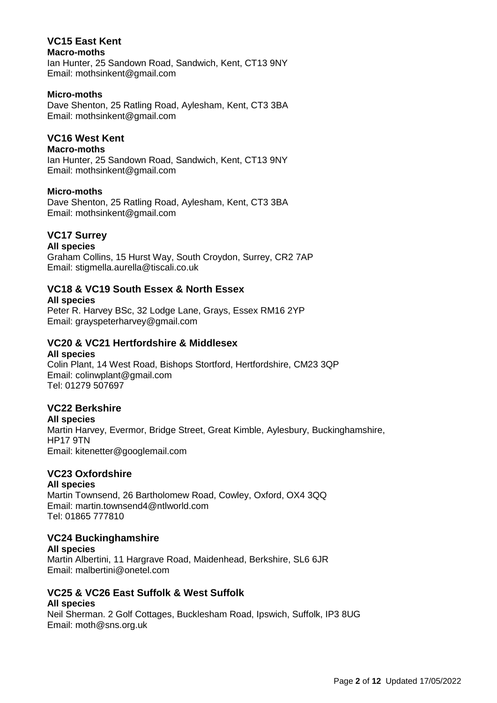#### **VC15 East Kent Macro-moths**

Ian Hunter, 25 Sandown Road, Sandwich, Kent, CT13 9NY Email: mothsinkent@gmail.com

#### **Micro-moths**

Dave Shenton, 25 Ratling Road, Aylesham, Kent, CT3 3BA Email: mothsinkent@gmail.com

### **VC16 West Kent**

#### **Macro-moths**

Ian Hunter, 25 Sandown Road, Sandwich, Kent, CT13 9NY Email: mothsinkent@gmail.com

#### **Micro-moths**

Dave Shenton, 25 Ratling Road, Aylesham, Kent, CT3 3BA Email: mothsinkent@gmail.com

### **VC17 Surrey**

#### **All species**

Graham Collins, 15 Hurst Way, South Croydon, Surrey, CR2 7AP Email: stigmella.aurella@tiscali.co.uk

### **VC18 & VC19 South Essex & North Essex**

#### **All species**

Peter R. Harvey BSc, 32 Lodge Lane, Grays, Essex RM16 2YP Email: grayspeterharvey@gmail.com

### **VC20 & VC21 Hertfordshire & Middlesex**

#### **All species**

Colin Plant, 14 West Road, Bishops Stortford, Hertfordshire, CM23 3QP Email: colinwplant@gmail.com Tel: 01279 507697

### **VC22 Berkshire**

#### **All species**

Martin Harvey, Evermor, Bridge Street, Great Kimble, Aylesbury, Buckinghamshire, HP17 9TN Email: [kitenetter@googlemail.com](mailto:kitenetter@googlemail.com)

#### **VC23 Oxfordshire**

#### **All species**

Martin Townsend, 26 Bartholomew Road, Cowley, Oxford, OX4 3QQ Email: [martin.townsend4@ntlworld.com](mailto:martin.townsend4@ntlworld.com) Tel: 01865 777810

### **VC24 Buckinghamshire**

**All species** Martin Albertini, 11 Hargrave Road, Maidenhead, Berkshire, SL6 6JR Email: malbertini@onetel.com

#### **VC25 & VC26 East Suffolk & West Suffolk All species**

Neil Sherman. 2 Golf Cottages, Bucklesham Road, Ipswich, Suffolk, IP3 8UG Email: moth@sns.org.uk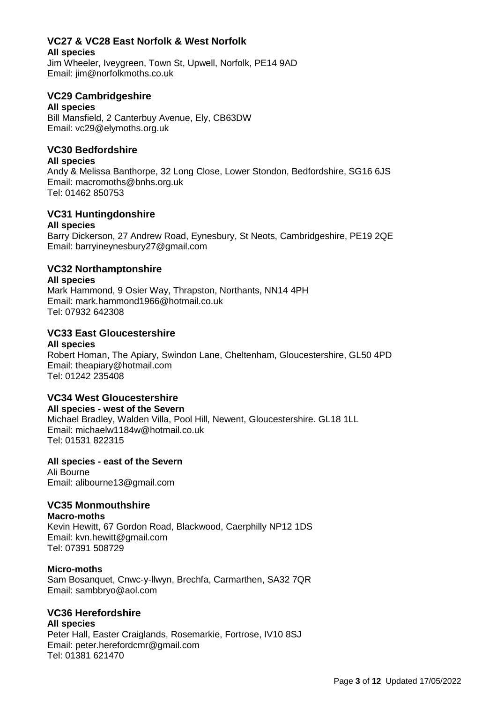## **VC27 & VC28 East Norfolk & West Norfolk**

**All species**

Jim Wheeler, Iveygreen, Town St, Upwell, Norfolk, PE14 9AD Email: jim@norfolkmoths.co.uk

### **VC29 Cambridgeshire**

#### **All species**

Bill Mansfield, 2 Canterbuy Avenue, Ely, CB63DW Email: vc29@elymoths.org.uk

### **VC30 Bedfordshire**

#### **All species**

Andy & Melissa Banthorpe, 32 Long Close, Lower Stondon, Bedfordshire, SG16 6JS Email: [macromoths@bnhs.org.uk](mailto:macromoths@bnhs.org.uk) Tel: 01462 850753

#### **VC31 Huntingdonshire All species**

Barry Dickerson, 27 Andrew Road, Eynesbury, St Neots, Cambridgeshire, PE19 2QE Email: barryineynesbury27@gmail.com

### **VC32 Northamptonshire**

#### **All species**

Mark Hammond, 9 Osier Way, Thrapston, Northants, NN14 4PH Email: mark.hammond1966@hotmail.co.uk Tel: 07932 642308

### **VC33 East Gloucestershire**

#### **All species**

Robert Homan, The Apiary, Swindon Lane, Cheltenham, Gloucestershire, GL50 4PD Email: theapiary@hotmail.com Tel: 01242 235408

### **VC34 West Gloucestershire**

#### **All species - west of the Severn**

Michael Bradley, Walden Villa, Pool Hill, Newent, Gloucestershire. GL18 1LL Email: michaelw1184w@hotmail.co.uk Tel: 01531 822315

#### **All species - east of the Severn**

Ali Bourne Email: alibourne13@gmail.com

### **VC35 Monmouthshire**

**Macro-moths** Kevin Hewitt, 67 Gordon Road, Blackwood, Caerphilly NP12 1DS Email: kvn.hewitt@gmail.com Tel: 07391 508729

#### **Micro-moths**

Sam Bosanquet, Cnwc-y-llwyn, Brechfa, Carmarthen, SA32 7QR Email: sambbryo@aol.com

### **VC36 Herefordshire**

#### **All species** Peter Hall, Easter Craiglands, Rosemarkie, Fortrose, IV10 8SJ Email: peter.herefordcmr@gmail.com Tel: 01381 621470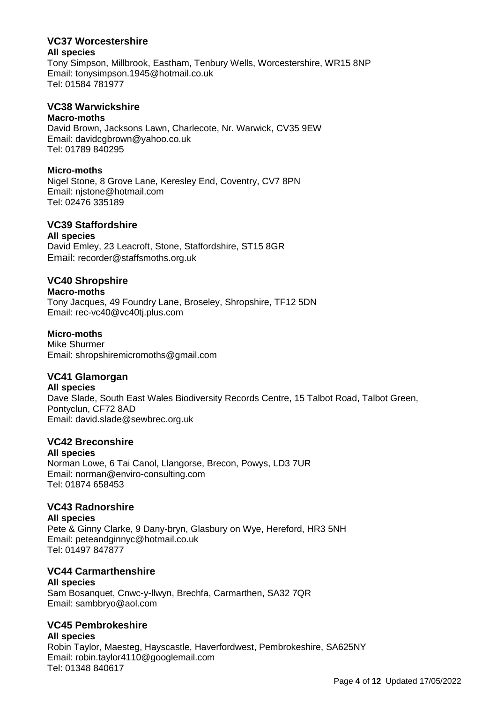#### **VC37 Worcestershire All species**

Tony Simpson, Millbrook, Eastham, Tenbury Wells, Worcestershire, WR15 8NP Email: [tonysimpson.1945@hotmail.co.uk](mailto:tonysimpson.1945@hotmail.co.uk) Tel: 01584 781977

### **VC38 Warwickshire**

#### **Macro-moths**

David Brown, Jacksons Lawn, Charlecote, Nr. Warwick, CV35 9EW Email: [davidcgbrown@yahoo.co.uk](mailto:davidcgbrown@yahoo.co.uk) Tel: 01789 840295

#### **Micro-moths**

Nigel Stone, 8 Grove Lane, Keresley End, Coventry, CV7 8PN Email: njstone@hotmail.com Tel: 02476 335189

### **VC39 Staffordshire**

#### **All species**

David Emley, 23 Leacroft, Stone, Staffordshire, ST15 8GR Email: recorder@staffsmoths.org.uk

### **VC40 Shropshire**

#### **Macro-moths**

Tony Jacques, 49 Foundry Lane, Broseley, Shropshire, TF12 5DN Email: rec-vc40@vc40tj.plus.com

### **Micro-moths**

Mike Shurmer Email: shropshiremicromoths@gmail.com

### **VC41 Glamorgan**

#### **All species**

Dave Slade, South East Wales Biodiversity Records Centre, 15 Talbot Road, Talbot Green, Pontyclun, CF72 8AD Email: david.slade@sewbrec.org.uk

#### **VC42 Breconshire**

#### **All species**

Norman Lowe, 6 Tai Canol, Llangorse, Brecon, Powys, LD3 7UR Email: norman@enviro-consulting.com Tel: 01874 658453

### **VC43 Radnorshire**

**All species** Pete & Ginny Clarke, 9 Dany-bryn, Glasbury on Wye, Hereford, HR3 5NH Email: peteandginnyc@hotmail.co.uk Tel: 01497 847877

### **VC44 Carmarthenshire**

#### **All species**

Sam Bosanquet, Cnwc-y-llwyn, Brechfa, Carmarthen, SA32 7QR Email: sambbryo@aol.com

### **VC45 Pembrokeshire**

**All species** Robin Taylor, Maesteg, Hayscastle, Haverfordwest, Pembrokeshire, SA625NY Email: robin.taylor4110@googlemail.com Tel: 01348 840617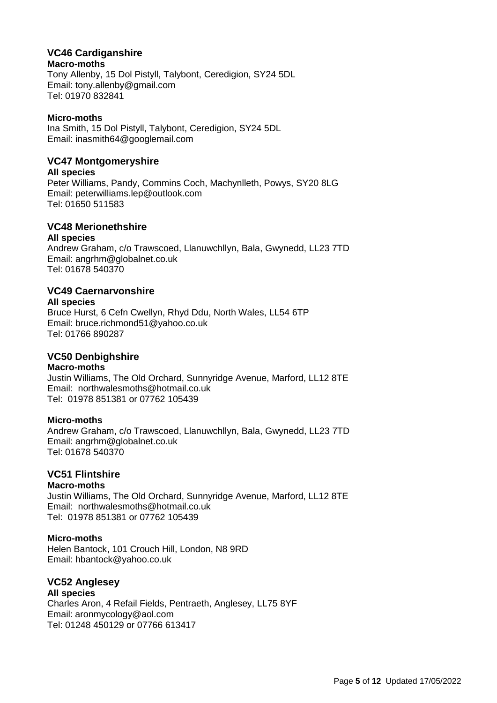### **VC46 Cardiganshire**

#### **Macro-moths**

Tony Allenby, 15 Dol Pistyll, Talybont, Ceredigion, SY24 5DL Email: tony.allenby@gmail.com Tel: 01970 832841

#### **Micro-moths**

Ina Smith, 15 Dol Pistyll, Talybont, Ceredigion, SY24 5DL Email: [inasmith64@googlemail.com](mailto:inasmith64@googlemail.com)

### **VC47 Montgomeryshire**

#### **All species**

Peter Williams, Pandy, Commins Coch, Machynlleth, Powys, SY20 8LG Email: peterwilliams.lep@outlook.com Tel: 01650 511583

### **VC48 Merionethshire**

#### **All species**

Andrew Graham, c/o Trawscoed, Llanuwchllyn, Bala, Gwynedd, LL23 7TD Email: angrhm@globalnet.co.uk Tel: 01678 540370

### **VC49 Caernarvonshire**

#### **All species**

Bruce Hurst, 6 Cefn Cwellyn, Rhyd Ddu, North Wales, LL54 6TP Email: bruce.richmond51@yahoo.co.uk Tel: 01766 890287

### **VC50 Denbighshire**

#### **Macro-moths**

Justin Williams, The Old Orchard, Sunnyridge Avenue, Marford, LL12 8TE Email: [northwalesmoths@hotmail.co.uk](mailto:northwalesmoths@hotmail.co.uk) Tel: 01978 851381 or 07762 105439

#### **Micro-moths**

Andrew Graham, c/o Trawscoed, Llanuwchllyn, Bala, Gwynedd, LL23 7TD Email: angrhm@globalnet.co.uk Tel: 01678 540370

### **VC51 Flintshire**

#### **Macro-moths**

Justin Williams, The Old Orchard, Sunnyridge Avenue, Marford, LL12 8TE Email: [northwalesmoths@hotmail.co.uk](mailto:northwalesmoths@hotmail.co.uk) Tel: 01978 851381 or 07762 105439

#### **Micro-moths**

Helen Bantock, 101 Crouch Hill, London, N8 9RD Email: [hbantock@yahoo.co.uk](mailto:hbantock@yahoo.co.uk)

### **VC52 Anglesey**

**All species** Charles Aron, 4 Refail Fields, Pentraeth, Anglesey, LL75 8YF Email: aronmycology@aol.com Tel: 01248 450129 or 07766 613417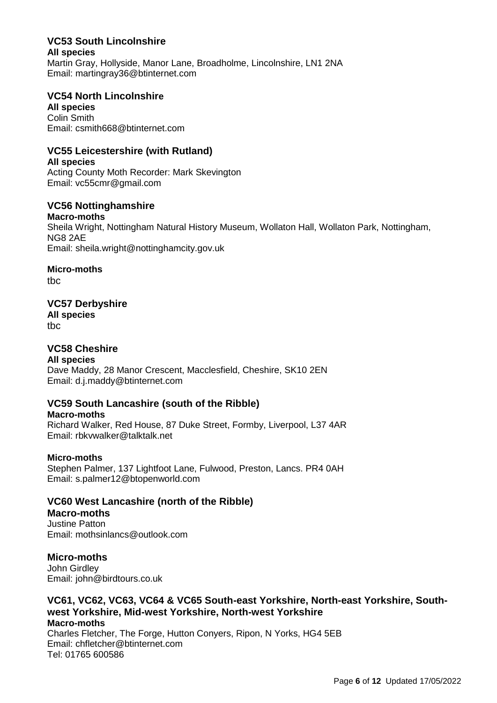## **VC53 South Lincolnshire All species**

Martin Gray, Hollyside, Manor Lane, Broadholme, Lincolnshire, LN1 2NA Email: martingray36@btinternet.com

### **VC54 North Lincolnshire**

**All species** Colin Smith Email: csmith668@btinternet.com

### **VC55 Leicestershire (with Rutland)**

**All species** Acting County Moth Recorder: Mark Skevington Email: vc55cmr@gmail.com

### **VC56 Nottinghamshire**

**Macro-moths** Sheila Wright, Nottingham Natural History Museum, Wollaton Hall, Wollaton Park, Nottingham, NG8 2AE Email: [sheila.wright@nottinghamcity.gov.uk](mailto:sheila.wright@nottinghamcity.gov.uk) 

### **Micro-moths**

tbc

### **VC57 Derbyshire**

**All species** tbc

### **VC58 Cheshire**

**All species**

Dave Maddy, 28 Manor Crescent, Macclesfield, Cheshire, SK10 2EN Email: d.j.maddy@btinternet.com

### **VC59 South Lancashire (south of the Ribble)**

#### **Macro-moths**

Richard Walker, Red House, 87 Duke Street, Formby, Liverpool, L37 4AR Email: rbkvwalker@talktalk.net

#### **Micro-moths**

Stephen Palmer, 137 Lightfoot Lane, Fulwood, Preston, Lancs. PR4 0AH Email: s.palmer12@btopenworld.com

### **VC60 West Lancashire (north of the Ribble)**

### **Macro-moths**

Justine Patton Email: mothsinlancs@outlook.com

### **Micro-moths**

John Girdley Email: john@birdtours.co.uk

#### **VC61, VC62, VC63, VC64 & VC65 South-east Yorkshire, North-east Yorkshire, Southwest Yorkshire, Mid-west Yorkshire, North-west Yorkshire Macro-moths**

Charles Fletcher, The Forge, Hutton Conyers, Ripon, N Yorks, HG4 5EB Email: [chfletcher@btinternet.com](mailto:chfletcher@btinternet.com) Tel: 01765 600586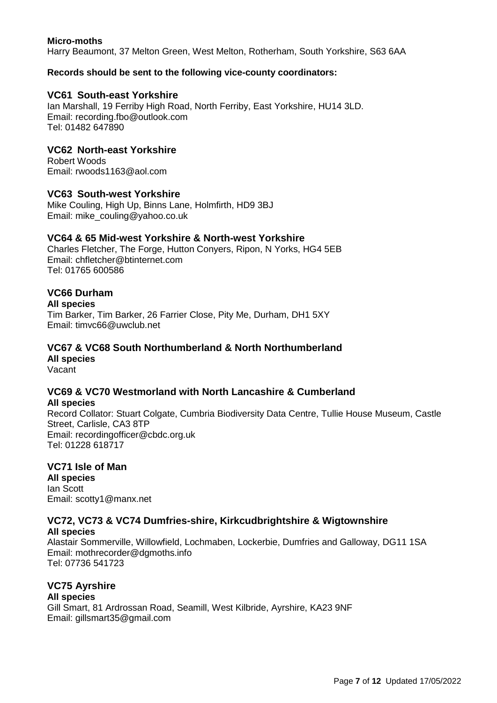#### **Micro-moths**

Harry Beaumont, 37 Melton Green, West Melton, Rotherham, South Yorkshire, S63 6AA

#### **Records should be sent to the following vice-county coordinators:**

#### **VC61 South-east Yorkshire**

Ian Marshall, 19 Ferriby High Road, North Ferriby, East Yorkshire, HU14 3LD. Email: recording.fbo@outlook.com Tel: 01482 647890

#### **VC62 North-east Yorkshire**

Robert Woods Email: rwoods1163@aol.com

#### **VC63 South-west Yorkshire**

Mike Couling, High Up, Binns Lane, Holmfirth, HD9 3BJ Email: [mike\\_couling@yahoo.co.uk](mailto:mike_couling@yahoo.co.uk)

#### **VC64 & 65 Mid-west Yorkshire & North-west Yorkshire**

Charles Fletcher, The Forge, Hutton Conyers, Ripon, N Yorks, HG4 5EB Email: [chfletcher@btinternet.com](mailto:chfletcher@btinternet.com) Tel: 01765 600586

#### **VC66 Durham**

**All species** 

Tim Barker, Tim Barker, 26 Farrier Close, Pity Me, Durham, DH1 5XY Email: timvc66@uwclub.net

### **VC67 & VC68 South Northumberland & North Northumberland All species**

Vacant

# **VC69 & VC70 Westmorland with North Lancashire & Cumberland**

**All species** Record Collator: Stuart Colgate, Cumbria Biodiversity Data Centre, Tullie House Museum, Castle Street, Carlisle, CA3 8TP Email: recordingofficer@cbdc.org.uk Tel: 01228 618717

#### **VC71 Isle of Man**

**All species** Ian Scott Email: scotty1@manx.net

#### **VC72, VC73 & VC74 Dumfries-shire, Kirkcudbrightshire & Wigtownshire All species**

Alastair Sommerville, Willowfield, Lochmaben, Lockerbie, Dumfries and Galloway, DG11 1SA Email: mothrecorder@dgmoths.info Tel: 07736 541723

#### **VC75 Ayrshire**

#### **All species**

Gill Smart, 81 Ardrossan Road, Seamill, West Kilbride, Ayrshire, KA23 9NF Email: gillsmart35@gmail.com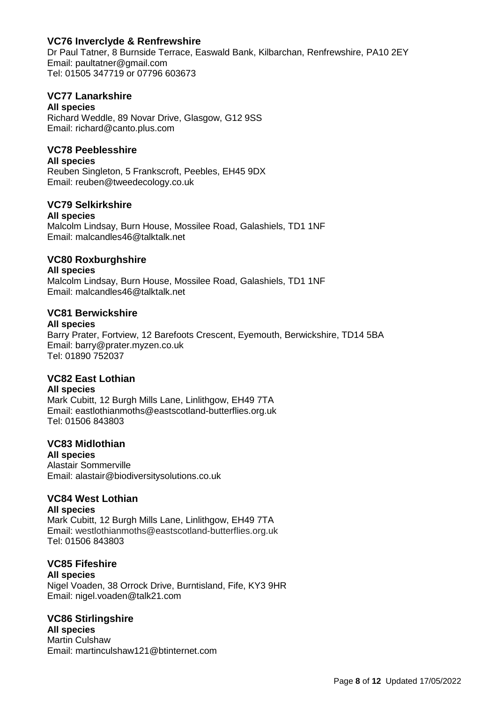### **VC76 Inverclyde & Renfrewshire**

Dr Paul Tatner, 8 Burnside Terrace, Easwald Bank, Kilbarchan, Renfrewshire, PA10 2EY Email: paultatner@gmail.com Tel: 01505 347719 or 07796 603673

#### **VC77 Lanarkshire**

#### **All species**

Richard Weddle, 89 Novar Drive, Glasgow, G12 9SS Email: richard@canto.plus.com

#### **VC78 Peeblesshire**

#### **All species**

Reuben Singleton, 5 Frankscroft, Peebles, EH45 9DX Email: reuben@tweedecology.co.uk

#### **VC79 Selkirkshire**

#### **All species**

Malcolm Lindsay, Burn House, Mossilee Road, Galashiels, TD1 1NF Email: [malcandles46@talktalk.net](mailto:malcandles46@talktalk.net)

#### **VC80 Roxburghshire**

#### **All species**

Malcolm Lindsay, Burn House, Mossilee Road, Galashiels, TD1 1NF Email: [malcandles46@talktalk.net](mailto:malcandles46@talktalk.net)

#### **VC81 Berwickshire**

#### **All species**

Barry Prater, Fortview, 12 Barefoots Crescent, Eyemouth, Berwickshire, TD14 5BA Email: barry@prater.myzen.co.uk Tel: 01890 752037

### **VC82 East Lothian**

#### **All species**

Mark Cubitt, 12 Burgh Mills Lane, Linlithgow, EH49 7TA Email: eastlothianmoths@eastscotland-butterflies.org.uk Tel: 01506 843803

#### **VC83 Midlothian**

**All species** Alastair Sommerville Email: [alastair@biodiversitysolutions.co.uk](mailto:alastair@biodiversitysolutions.co.uk)

## **VC84 West Lothian**

#### **All species** Mark Cubitt, 12 Burgh Mills Lane, Linlithgow, EH49 7TA Email: westlothianmoths@eastscotland-butterflies.org.uk Tel: 01506 843803

#### **VC85 Fifeshire**

#### **All species**

Nigel Voaden, 38 Orrock Drive, Burntisland, Fife, KY3 9HR Email: nigel.voaden@talk21.com

**VC86 Stirlingshire All species** Martin Culshaw Email: martinculshaw121@btinternet.com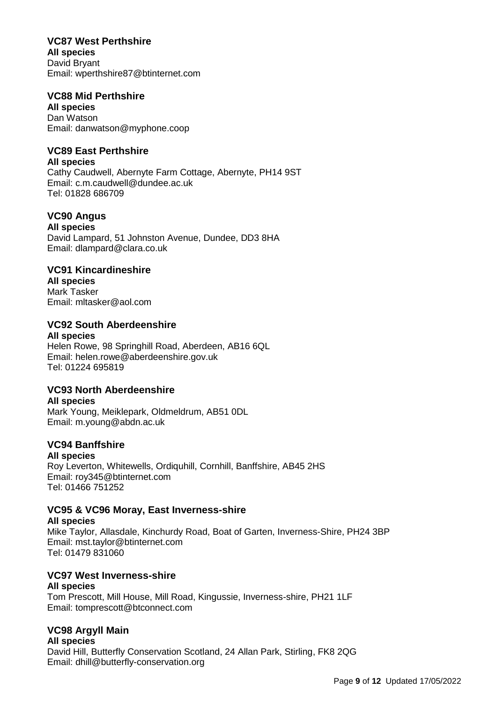### **VC87 West Perthshire**

**All species** David Bryant Email: wperthshire87@btinternet.com

#### **VC88 Mid Perthshire**

**All species** Dan Watson Email: danwatson@myphone.coop

### **VC89 East Perthshire**

**All species**

Cathy Caudwell, Abernyte Farm Cottage, Abernyte, PH14 9ST Email: c.m.caudwell@dundee.ac.uk Tel: 01828 686709

## **VC90 Angus**

**All species** David Lampard, 51 Johnston Avenue, Dundee, DD3 8HA Email: dlampard@clara.co.uk

### **VC91 Kincardineshire**

**All species** Mark Tasker Email: mltasker@aol.com

### **VC92 South Aberdeenshire**

# **All species**

Helen Rowe, 98 Springhill Road, Aberdeen, AB16 6QL Email: [helen.rowe@aberdeenshire.gov.uk](mailto:helen.rowe@aberdeenshire.gov.uk) Tel: 01224 695819

### **VC93 North Aberdeenshire**

**All species**

Mark Young, Meiklepark, Oldmeldrum, AB51 0DL Email: m.young@abdn.ac.uk

### **VC94 Banffshire**

#### **All species**

Roy Leverton, Whitewells, Ordiquhill, Cornhill, Banffshire, AB45 2HS Email: [roy345@btinternet.com](mailto:roy345@btinternet.com) Tel: 01466 751252

### **VC95 & VC96 Moray, East Inverness-shire**

**All species** Mike Taylor, Allasdale, Kinchurdy Road, Boat of Garten, Inverness-Shire, PH24 3BP Email: mst.taylor@btinternet.com Tel: 01479 831060

### **VC97 West Inverness-shire**

#### **All species**

Tom Prescott, Mill House, Mill Road, Kingussie, Inverness-shire, PH21 1LF Email: tomprescott@btconnect.com

### **VC98 Argyll Main**

**All species** David Hill, Butterfly Conservation Scotland, 24 Allan Park, Stirling, FK8 2QG Email: dhill@butterfly-conservation.org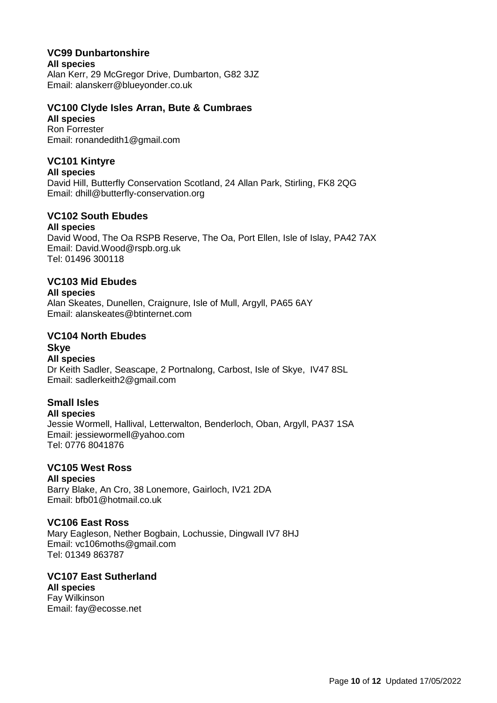### **VC99 Dunbartonshire**

**All species**

Alan Kerr, 29 McGregor Drive, Dumbarton, G82 3JZ Email: alanskerr@blueyonder.co.uk

### **VC100 Clyde Isles Arran, Bute & Cumbraes**

**All species** Ron Forrester

Email: ronandedith1@gmail.com

### **VC101 Kintyre**

**All species**

David Hill, Butterfly Conservation Scotland, 24 Allan Park, Stirling, FK8 2QG Email: dhill@butterfly-conservation.org

### **VC102 South Ebudes**

#### **All species**

David Wood, The Oa RSPB Reserve, The Oa, Port Ellen, Isle of Islay, PA42 7AX Email: David.Wood@rspb.org.uk Tel: 01496 300118

### **VC103 Mid Ebudes**

### **All species**

Alan Skeates, Dunellen, Craignure, Isle of Mull, Argyll, PA65 6AY Email: [alanskeates@btinternet.com](mailto:alanskeates@btinternet.com)

### **VC104 North Ebudes**

## **Skye**

**All species** Dr Keith Sadler, Seascape, 2 Portnalong, Carbost, Isle of Skye, IV47 8SL Email: sadlerkeith2@gmail.com

### **Small Isles**

#### **All species**

Jessie Wormell, Hallival, Letterwalton, Benderloch, Oban, Argyll, PA37 1SA Email: [jessiewormell@yahoo.com](mailto:jessiewormell@yahoo.com) Tel: 0776 8041876

# **VC105 West Ross**

## **All species**

Barry Blake, An Cro, 38 Lonemore, Gairloch, IV21 2DA Email: bfb01@hotmail.co.uk

#### **VC106 East Ross**

Mary Eagleson, Nether Bogbain, Lochussie, Dingwall IV7 8HJ Email: vc106moths@gmail.com Tel: 01349 863787

#### **VC107 East Sutherland All species** Fay Wilkinson

Email: fay@ecosse.net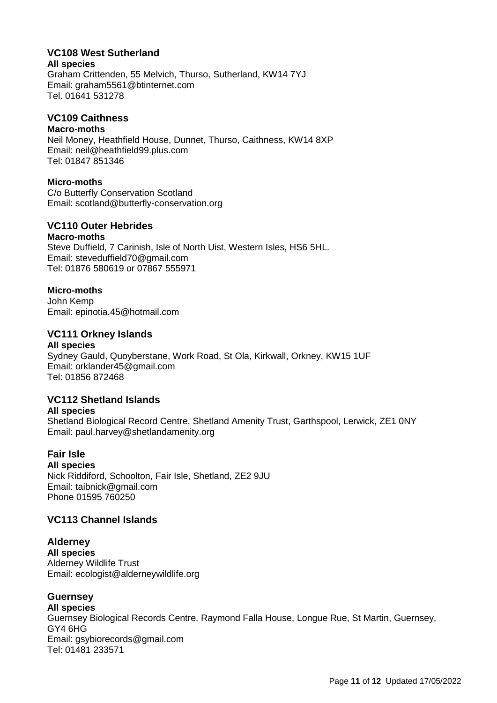### **VC108 West Sutherland**

#### **All species**

Graham Crittenden, 55 Melvich, Thurso, Sutherland, KW14 7YJ Email: graham5561@btinternet.com Tel. 01641 531278

#### **VC109 Caithness**

#### **Macro-moths**

Neil Money, Heathfield House, Dunnet, Thurso, Caithness, KW14 8XP Email: neil@heathfield99.plus.com Tel: 01847 851346

#### **Micro-moths**

C/o Butterfly Conservation Scotland Email: scotland@butterfly-conservation.org

### **VC110 Outer Hebrides**

#### **Macro-moths**

Steve Duffield, 7 Carinish, Isle of North Uist, Western Isles, HS6 5HL. Email: [steveduffield70@gmail.com](mailto:steveduffield70@gmail.com) Tel: 01876 580619 or 07867 555971

#### **Micro-moths**

John Kemp Email: epinotia.45@hotmail.com

### **VC111 Orkney Islands**

#### **All species**

Sydney Gauld, Quoyberstane, Work Road, St Ola, Kirkwall, Orkney, KW15 1UF Email: orklander45@gmail.com Tel: 01856 872468

### **VC112 Shetland Islands**

#### **All species**

Shetland Biological Record Centre, Shetland Amenity Trust, Garthspool, Lerwick, ZE1 0NY Email: paul.harvey@shetlandamenity.org

## **Fair Isle**

**All species** Nick Riddiford, Schoolton, Fair Isle, Shetland, ZE2 9JU Email: taibnick@gmail.com Phone 01595 760250

### **VC113 Channel Islands**

**Alderney All species** Alderney Wildlife Trust Email: ecologist@alderneywildlife.org

### **Guernsey**

**All species** Guernsey Biological Records Centre, Raymond Falla House, Longue Rue, St Martin, Guernsey, GY4 6HG Email: gsybiorecords@gmail.com Tel: 01481 233571